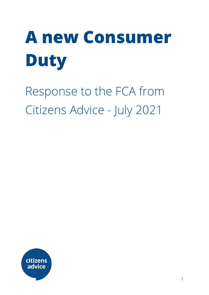# **A new Consumer Duty**

Response to the FCA from Citizens Advice - July 2021

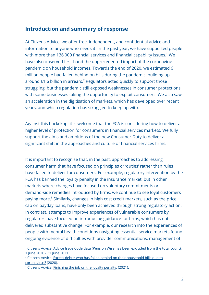## **Introduction and summary of response**

At Citizens Advice, we offer free, independent, and confidential advice and information to anyone who needs it. In the past year, we have supported people with more than 136,000 financial services and financial capability issues.<sup>1</sup> We have also observed first-hand the unprecedented impact of the coronavirus pandemic on household incomes. Towards the end of 2020, we estimated 6 million people had fallen behind on bills during the pandemic, building up around £1.6 billion in arrears.<sup>2</sup> Regulators acted quickly to support those struggling, but the pandemic still exposed weaknesses in consumer protections, with some businesses taking the opportunity to exploit consumers. We also saw an acceleration in the digitisation of markets, which has developed over recent years, and which regulation has struggled to keep up with.

Against this backdrop, it is welcome that the FCA is considering how to deliver a higher level of protection for consumers in financial services markets. We fully support the aims and ambitions of the new Consumer Duty to deliver a significant shift in the approaches and culture of financial services firms.

It is important to recognise that, in the past, approaches to addressing consumer harm that have focused on principles or 'duties' rather than rules have failed to deliver for consumers. For example, regulatory intervention by the FCA has banned the loyalty penalty in the insurance market, but in other markets where changes have focused on voluntary commitments or demand-side remedies introduced by firms, we continue to see loyal customers paying more.<sup>3</sup> Similarly, changes in high cost credit markets, such as the price cap on payday loans, have only been achieved through strong regulatory action. In contrast, attempts to improve experiences of vulnerable consumers by regulators have focused on introducing guidance for firms, which has not delivered substantive change. For example, our research into the experiences of people with mental health conditions navigating essential service markets found ongoing evidence of difficulties with provider communications, management of

<sup>1</sup> Citizens Advice, Advice Issue Code data (Pension Wise has been excluded from the total count), 1 June 2020 - 31 June 2021

<sup>&</sup>lt;sup>2</sup> Citizens Advice, Excess debts: who has fallen behind on their [household](https://www.citizensadvice.org.uk/Global/CitizensAdvice/Debt%20and%20Money%20Publications/Excess%20Debts_who%20has%20fallen%20behind%20on%20their%20household%20bills%20due%20to%20coronavirus%20plus%20methodology).pdf) bills due to [coronavirus?](https://www.citizensadvice.org.uk/Global/CitizensAdvice/Debt%20and%20Money%20Publications/Excess%20Debts_who%20has%20fallen%20behind%20on%20their%20household%20bills%20due%20to%20coronavirus%20plus%20methodology).pdf) (2020).

<sup>&</sup>lt;sup>3</sup> Citizens Advice, [Finishing](https://www.citizensadvice.org.uk/about-us/our-work/policy/policy-research-topics/consumer-policy-research/consumer-policy-research/finishing-the-job-on-the-loyalty-penalty-the-mortgage-and-mobile-handset-markets/) the job on the loyalty penalty, (2021).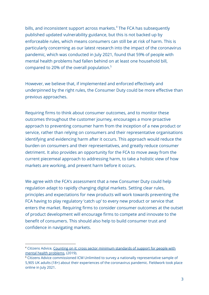bills, and inconsistent support across markets.<sup>4</sup> The FCA has subsequently published updated vulnerability guidance, but this is not backed up by enforceable rules, which means consumers can still be at risk of harm. This is particularly concerning as our latest research into the impact of the coronavirus pandemic, which was conducted in July 2021, found that 59% of people with mental health problems had fallen behind on at least one household bill, compared to 20% of the overall population.<sup>5</sup>

However, we believe that, if implemented and enforced effectively and underpinned by the right rules, the Consumer Duty could be more effective than previous approaches.

Requiring firms to think about consumer outcomes, and to monitor these outcomes throughout the customer journey, encourages a more proactive approach to preventing consumer harm from the inception of a new product or service, rather than relying on consumers and their representative organisations identifying and evidencing harm after it occurs. This approach would reduce the burden on consumers and their representatives, and greatly reduce consumer detriment. It also provides an opportunity for the FCA to move away from the current piecemeal approach to addressing harm, to take a holistic view of how markets are working, and prevent harm before it occurs.

We agree with the FCA's assessment that a new Consumer Duty could help regulation adapt to rapidly changing digital markets. Setting clear rules, principles and expectations for new products will work towards preventing the FCA having to play regulatory 'catch up' to every new product or service that enters the market. Requiring firms to consider consumer outcomes at the outset of product development will encourage firms to compete and innovate to the benefit of consumers. This should also help to build consumer trust and confidence in navigating markets.

<sup>4</sup> Citizens Advice, Counting on it: cross sector minimum [standards](https://www.citizensadvice.org.uk/Global/CitizensAdvice/Consumer%20publications/Minimum%20standards%20report.pdf) of support for people with mental health [problems,](https://www.citizensadvice.org.uk/Global/CitizensAdvice/Consumer%20publications/Minimum%20standards%20report.pdf) (2019).

<sup>5</sup> Citizens Advice commissioned ICM Unlimited to survey a nationally representative sample of 5,905 UK adults (18+) about their experiences of the coronavirus pandemic. Fieldwork took place online in July 2021.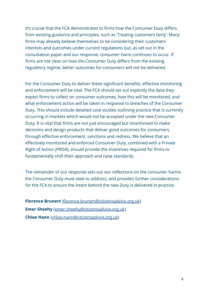It's crucial that the FCA demonstrates to firms how the Consumer Duty differs from existing guidance and principles, such as 'Treating customers fairly'. Many firms may already believe themselves to be considering their customers interests and outcomes under current regulations but, as set out in the consultation paper and our response, consumer harm continues to occur. If firms are not clear on how the Consumer Duty differs from the existing regulatory regime, better outcomes for consumers will not be delivered.

For the Consumer Duty to deliver these significant benefits, effective monitoring and enforcement will be vital. The FCA should set out explicitly the data they expect firms to collect on consumer outcomes, how this will be monitored, and what enforcement action will be taken in response to breaches of the Consumer Duty. This should include detailed case studies outlining practice that is currently occurring in markets which would not be accepted under the new Consumer Duty. It is vital that firms are not just encouraged but incentivised to make decisions and design products that deliver good outcomes for consumers, through effective enforcement, sanctions and redress. We believe that an effectively monitored and enforced Consumer Duty, combined with a Private Right of Action (PROA), should provide the incentives required for firms to fundamentally shift their approach and raise standards.

The remainder of our response sets out our reflections on the consumer harms the Consumer Duty must seek to address, and provides further considerations for the FCA to ensure the intent behind the new Duty is delivered in practice.

**Florence Brunert** [\(florence.brunert@citizensadvice.org.uk\)](mailto:florence.brunert@citizensadvice.org.uk) **Emer Sheehy** [\(emer.sheehy@citizensadvice.org.uk](mailto:emer.sheehy@citizensadvice.org.uk)) **Chloe Hann** ([chloe.hann@citizensadvice.org.uk](mailto:chloe.hann@citizensadvice.org.uk))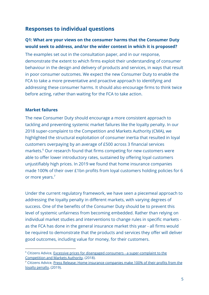# **Responses to individual questions**

## **Q1: What are your views on the consumer harms that the Consumer Duty would seek to address, and/or the wider context in which it is proposed?**

The examples set out in the consultation paper, and in our response, demonstrate the extent to which firms exploit their understanding of consumer behaviour in the design and delivery of products and services, in ways that result in poor consumer outcomes. We expect the new Consumer Duty to enable the FCA to take a more preventative and proactive approach to identifying and addressing these consumer harms. It should also encourage firms to think twice before acting, rather than waiting for the FCA to take action.

#### **Market failures**

The new Consumer Duty should encourage a more consistent approach to tackling and preventing systemic market failures like the loyalty penalty. In our 2018 super-complaint to the Competition and Markets Authority (CMA), we highlighted the structural exploitation of consumer inertia that resulted in loyal customers overpaying by an average of £500 across 3 financial services markets.<sup>6</sup> Our research found that firms competing for new customers were able to offer lower introductory rates, sustained by offering loyal customers unjustifiably high prices. In 2019 we found that home insurance companies made 100% of their over £1bn profits from loyal customers holding policies for 6 or more years.<sup>7</sup>

Under the current regulatory framework, we have seen a piecemeal approach to addressing the loyalty penalty in different markets, with varying degrees of success. One of the benefits of the Consumer Duty should be to prevent this level of systemic unfairness from becoming embedded. Rather than relying on individual market studies and interventions to change rules in specific markets as the FCA has done in the general insurance market this year - all firms would be required to demonstrate that the products and services they offer will deliver good outcomes, including value for money, for their customers.

<sup>&</sup>lt;sup>6</sup> Citizens Advice, Excessive prices for disengaged consumers - a [super-complaint](https://www.citizensadvice.org.uk/Global/CitizensAdvice/Consumer%20publications/Super-complaint%20-%20Excessive%20prices%20for%20disengaged%20consumers%20(1).pdf) to the [Competition](https://www.citizensadvice.org.uk/Global/CitizensAdvice/Consumer%20publications/Super-complaint%20-%20Excessive%20prices%20for%20disengaged%20consumers%20(1).pdf) and Markets Authority, (2018).

<sup>7</sup> Citizens Advice, Press Release: Home insurance [companies](https://www.citizensadvice.org.uk/about-us/about-us1/media/press-releases/home-insurance-companies-make-100-of-their-profits-from-the-loyalty-penalty-reveals-citizens-advice/) make 100% of their profits from the loyalty [penalty](https://www.citizensadvice.org.uk/about-us/about-us1/media/press-releases/home-insurance-companies-make-100-of-their-profits-from-the-loyalty-penalty-reveals-citizens-advice/), (2019).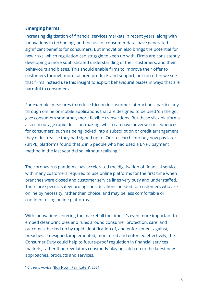#### **Emerging harms**

Increasing digitisation of financial services markets in recent years, along with innovations in technology and the use of consumer data, have generated significant benefits for consumers. But innovation also brings the potential for new risks, which regulation can struggle to keep up with. Firms are consistently developing a more sophisticated understanding of their customers, and their behaviours and biases. This should enable firms to improve their offer to customers through more tailored products and support, but too often we see that firms instead use this insight to exploit behavioural biases in ways that are harmful to consumers.

For example, measures to reduce friction in customer interactions, particularly through online or mobile applications that are designed to be used 'on the go', give consumers smoother, more flexible transactions. But these slick platforms also encourage rapid decision-making, which can have adverse consequences for consumers, such as being locked into a subscription or credit arrangement they didn't realise they had signed up to. Our research into buy now pay later (BNPL) platforms found that 2 in 5 people who had used a BNPL payment method in the last year did so without realising.<sup>8</sup>

The coronavirus pandemic has accelerated the digitisation of financial services, with many customers required to use online platforms for the first time when branches were closed and customer service lines very busy and understaffed. There are specific safeguarding considerations needed for customers who are online by necessity, rather than choice, and may be less comfortable or confident using online platforms.

With innovations entering the market all the time, it's even more important to embed clear principles and rules around consumer protection, care, and outcomes, backed up by rapid identification of, and enforcement against, breaches. If designed, implemented, monitored and enforced effectively, the Consumer Duty could help to future-proof regulation in financial services markets, rather than regulators constantly playing catch up to the latest new approaches, products and services.

<sup>8</sup> Citizens Advice, 'Buy [Now...Pain](https://www.citizensadvice.org.uk/about-us/our-work/policy/policy-research-topics/debt-and-money-policy-research/buy-nowpain-later/) Later?', 2021.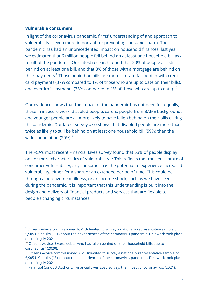#### **Vulnerable consumers**

In light of the coronavirus pandemic, firms' understanding of and approach to vulnerability is even more important for preventing consumer harm. The pandemic has had an unprecedented impact on household finances; last year we estimated that 6 million people fell behind on at least one household bill as a result of the pandemic. Our latest research found that 20% of people are still behind on at least one bill, and that 8% of those with a mortgage are behind on their payments.<sup>9</sup> Those behind on bills are more likely to fall behind with credit card payments (37% compared to 1% of those who are up to date on their bills), and overdraft payments (35% compared to 1% of those who are up to date).<sup>10</sup>

Our evidence shows that the impact of the pandemic has not been felt equally; those in insecure work, disabled people, carers, people from BAME backgrounds and younger people are all more likely to have fallen behind on their bills during the pandemic. Our latest survey also shows that disabled people are more than twice as likely to still be behind on at least one household bill (59%) than the wider population  $(20\%)$ .<sup>11</sup>

The FCA's most recent Financial Lives survey found that 53% of people display one or more characteristics of vulnerability.<sup>12</sup> This reflects the transient nature of consumer vulnerability; any consumer has the potential to experience increased vulnerability, either for a short or an extended period of time. This could be through a bereavement, illness, or an income shock, such as we have seen during the pandemic. It is important that this understanding is built into the design and delivery of financial products and services that are flexible to people's changing circumstances.

<sup>&</sup>lt;sup>9</sup> Citizens Advice commissioned ICM Unlimited to survey a nationally representative sample of 5,905 UK adults (18+) about their experiences of the coronavirus pandemic. Fieldwork took place online in July 2021.

<sup>10</sup> Citizens Advice, Excess debts: who has fallen behind on their [household](https://www.citizensadvice.org.uk/Global/CitizensAdvice/Debt%20and%20Money%20Publications/Excess%20Debts_who%20has%20fallen%20behind%20on%20their%20household%20bills%20due%20to%20coronavirus%20plus%20methodology).pdf) bills due to [coronavirus?](https://www.citizensadvice.org.uk/Global/CitizensAdvice/Debt%20and%20Money%20Publications/Excess%20Debts_who%20has%20fallen%20behind%20on%20their%20household%20bills%20due%20to%20coronavirus%20plus%20methodology).pdf) (2020).

<sup>11</sup> Citizens Advice commissioned ICM Unlimited to survey a nationally representative sample of 5,905 UK adults (18+) about their experiences of the coronavirus pandemic. Fieldwork took place online in July 2021.

<sup>&</sup>lt;sup>12</sup> Financial Conduct Authority, Financial Lives 2020 survey: the impact of [coronavirus,](https://www.fca.org.uk/publications/research/financial-lives-2020-survey-impact-coronavirus) (2021).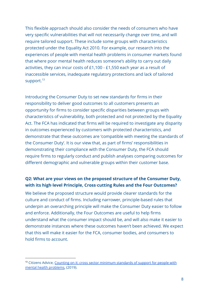This flexible approach should also consider the needs of consumers who have very specific vulnerabilities that will not necessarily change over time, and will require tailored support. These include some groups with characteristics protected under the Equality Act 2010. For example, our research into the experiences of people with mental health problems in consumer markets found that where poor mental health reduces someone's ability to carry out daily activities, they can incur costs of £1,100 - £1,550 each year as a result of inaccessible services, inadequate regulatory protections and lack of tailored support.<sup>13</sup>

Introducing the Consumer Duty to set new standards for firms in their responsibility to deliver good outcomes to all customers presents an opportunity for firms to consider specific disparities between groups with characteristics of vulnerability, both protected and not protected by the Equality Act. The FCA has indicated that firms will be required to investigate any disparity in outcomes experienced by customers with protected characteristics, and demonstrate that these outcomes are 'compatible with meeting the standards of the Consumer Duty'. It is our view that, as part of firms' responsibilities in demonstrating their compliance with the Consumer Duty, the FCA should require firms to regularly conduct and publish analyses comparing outcomes for different demographic and vulnerable groups within their customer base.

### **Q2: What are your views on the proposed structure of the Consumer Duty, with its high**‑**level Principle, Cross**‑**cutting Rules and the Four Outcomes?**

We believe the proposed structure would provide clearer standards for the culture and conduct of firms. Including narrower, principle-based rules that underpin an overarching principle will make the Consumer Duty easier to follow and enforce. Additionally, the Four Outcomes are useful to help firms understand what the consumer impact should be, and will also make it easier to demonstrate instances where these outcomes haven't been achieved. We expect that this will make it easier for the FCA, consumer bodies, and consumers to hold firms to account.

<sup>&</sup>lt;sup>13</sup> Citizens Advice, Counting on it: cross sector minimum [standards](https://www.citizensadvice.org.uk/Global/CitizensAdvice/Consumer%20publications/Minimum%20standards%20report.pdf) of support for people with mental health [problems,](https://www.citizensadvice.org.uk/Global/CitizensAdvice/Consumer%20publications/Minimum%20standards%20report.pdf) (2019).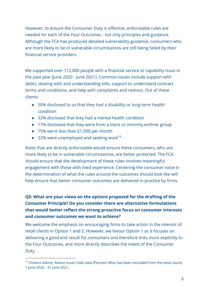However, to ensure the Consumer Duty is effective, enforceable rules are needed for each of the Four Outcomes - not only principles and guidance. Although the FCA has produced detailed vulnerability guidance, consumers who are more likely to be in vulnerable circumstances are still being failed by their financial service providers.

We supported over 112,000 people with a financial service or capability issue in the past year (June 2020 - June 2021). Common issues include support with debts, dealing with and understanding bills, support to understand contract terms and conditions, and help with complaints and redress. Out of these clients:

- 50% disclosed to us that they had a disability or long-term health condition
- 32% disclosed that they had a mental health condition
- 17% disclosed that they were from a black or minority enthnic group
- 75% earnt less than £1,500 per month
- 22% were unemployed and seeking work $14$

Rules that are directly enforceable would ensure these consumers, who are more likely to be in vulnerable circumstances, are better protected. The FCA should ensure that the development of these rules involves meaningful engagement with those with lived experience. Centering the consumer voice in the determination of what the rules around the outcomes should look like will help ensure that better consumer outcomes are delivered in practice by firms.

## **Q5: What are your views on the options proposed for the drafting of the Consumer Principle? Do you consider there are alternative formulations that would better reflect the strong proactive focus on consumer interests and consumer outcomes we want to achieve?**

We welcome the emphasis on encouraging firms to take action in the interest of retail clients in Option 1 and 2. However, we favour Option 1 as it focuses on delivering a good end result for consumers and therefore links more explicitly to the Four Outcomes, and more directly describes the intent of the Consumer Duty.

<sup>&</sup>lt;sup>14</sup> Citizens Advice, Advice Issue Code data (Pension Wise has been excluded from the total count), 1 June 2020 - 31 June 2021.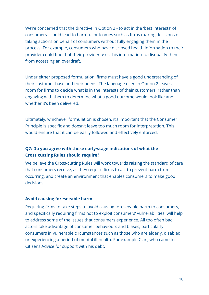We're concerned that the directive in Option 2 - to act in the 'best interests' of consumers - could lead to harmful outcomes such as firms making decisions or taking actions on behalf of consumers without fully engaging them in the process. For example, consumers who have disclosed health information to their provider could find that their provider uses this information to disqualify them from accessing an overdraft.

Under either proposed formulation, firms must have a good understanding of their customer base and their needs. The language used in Option 2 leaves room for firms to decide what is in the interests of their customers, rather than engaging with them to determine what a good outcome would look like and whether it's been delivered.

Ultimately, whichever formulation is chosen, it's important that the Consumer Principle is specific and doesn't leave too much room for interpretation. This would ensure that it can be easily followed and effectively enforced.

## **Q7: Do you agree with these early**‑**stage indications of what the Cross**‑**cutting Rules should require?**

We believe the Cross-cutting Rules will work towards raising the standard of care that consumers receive, as they require firms to act to prevent harm from occurring, and create an environment that enables consumers to make good decisions.

#### **Avoid causing foreseeable harm**

Requiring firms to take steps to avoid causing foreseeable harm to consumers, and specifically requiring firms not to exploit consumers' vulnerabilities, will help to address some of the issues that consumers experience. All too often bad actors take advantage of consumer behaviours and biases, particularly consumers in vulnerable circumstances such as those who are elderly, disabled or experiencing a period of mental ill-health. For example Cian, who came to Citizens Advice for support with his debt.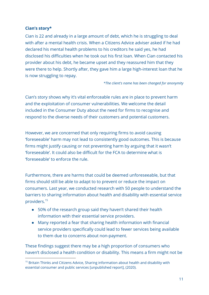#### **Cian's story\***

Cian is 22 and already in a large amount of debt, which he is struggling to deal with after a mental health crisis. When a Citizens Advice adviser asked if he had declared his mental health problems to his creditors he said yes, he had disclosed his difficulties when he took out his first loan. When Cian contacted his provider about his debt, he became upset and they reassured him that they were there to help. Shortly after, they gave him a large high-interest loan that he is now struggling to repay.

*\*The client's name has been changed for anonymity*

Cian's story shows why it's vital enforceable rules are in place to prevent harm and the exploitation of consumer vulnerabilities. We welcome the detail included in the Consumer Duty about the need for firms to recognise and respond to the diverse needs of their customers and potential customers.

However, we are concerned that only requiring firms to avoid causing 'foreseeable' harm may not lead to consistently good outcomes. This is because firms might justify causing or not preventing harm by arguing that it wasn't 'foreseeable'. It could also be difficult for the FCA to determine what is 'foreseeable' to enforce the rule.

Furthermore, there are harms that could be deemed unforeseeable, but that firms should still be able to adapt to to prevent or reduce the impact on consumers. Last year, we conducted research with 50 people to understand the barriers to sharing information about health and disability with essential service providers.<sup>15</sup>

- 50% of the research group said they haven't shared their health information with their essential service providers.
- Many reported a fear that sharing health information with financial service providers specifically could lead to fewer services being available to them due to concerns about non-payment.

These findings suggest there may be a high proportion of consumers who haven't disclosed a health condition or disability. This means a firm might not be

 $15$  Britain Thinks and Citizens Advice, Sharing information about health and disability with essential consumer and public services [unpublished report], (2020).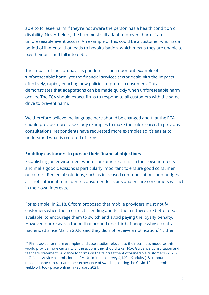able to foresee harm if they're not aware the person has a health condition or disability. Nevertheless, the firm must still adapt to prevent harm if an unforeseeable event occurs. An example of this could be a customer who has a period of ill-mental that leads to hospitalisation, which means they are unable to pay their bills and fall into debt.

The impact of the coronavirus pandemic is an important example of 'unforeseeable' harm, yet the financial services sector dealt with the impacts effectively, rapidly enacting new policies to protect consumers. This demonstrates that adaptations can be made quickly when unforeseeable harm occurs. The FCA should expect firms to respond to all customers with the same drive to prevent harm.

We therefore believe the language here should be changed and that the FCA should provide more case study examples to make the rule clearer. In previous consultations, respondents have requested more examples so it's easier to understand what is required of firms.<sup>16</sup>

#### **Enabling customers to pursue their financial objectives**

Establishing an environment where consumers can act in their own interests and make good decisions is particularly important to ensure good consumer outcomes. Remedial solutions, such as increased communications and nudges, are not sufficient to influence consumer decisions and ensure consumers will act in their own interests.

For example, in 2018, Ofcom proposed that mobile providers must notify customers when their contract is ending and tell them if there are better deals available, to encourage them to switch and avoid paying the loyalty penalty. However, our research found that around one third of people whose contract had ended since March 2020 said they did not receive a notification.<sup>17</sup> Either

 $17$  Citizens Advice commissioned ICM Unlimited to survey 4,140 UK adults (18+) about their <sup>16</sup> 'Firms asked for more examples and case studies relevant to their business model as this would provide more certainty of the actions they should take.' FCA, Guidance [Consultation](https://www.fca.org.uk/publication/guidance-consultation/gc20-03.pdf) and feedback statement Guidance for firms on the fair treatment of [vulnerable](https://www.fca.org.uk/publication/guidance-consultation/gc20-03.pdf) customers, (2020).

mobile phone contract and their experience of switching during the Covid-19 pandemic. Fieldwork took place online in February 2021.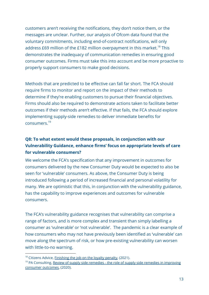customers aren't receiving the notifications, they don't notice them, or the messages are unclear. Further, our analysis of Ofcom data found that the voluntary commitments, including end-of-contract notifications, will only address £69 million of the £182 million overpayment in this market.<sup>18</sup> This demonstrates the inadequacy of communication remedies in ensuring good consumer outcomes. Firms must take this into account and be more proactive to properly support consumers to make good decisions.

Methods that are predicted to be effective can fall far short. The FCA should require firms to monitor and report on the impact of their methods to determine if they're enabling customers to pursue their financial objectives. Firms should also be required to demonstrate actions taken to facilitate better outcomes if their methods aren't effective. If that fails, the FCA should explore implementing supply-side remedies to deliver immediate benefits for consumers.<sup>19</sup>

## **Q8: To what extent would these proposals, in conjunction with our Vulnerability Guidance, enhance firms' focus on appropriate levels of care for vulnerable consumers?**

We welcome the FCA's specification that any improvement in outcomes for consumers delivered by the new Consumer Duty would be expected to also be seen for 'vulnerable' consumers. As above, the Consumer Duty is being introduced following a period of increased financial and personal volatility for many. We are optimistic that this, in conjunction with the vulnerability guidance, has the capability to improve experiences and outcomes for vulnerable consumers.

The FCA's vulnerability guidance recognises that vulnerability can comprise a range of factors, and is more complex and transient than simply labelling a consumer as 'vulnerable' or 'not vulnerable'. The pandemic is a clear example of how consumers who may not have previously been identified as 'vulnerable' can move along the spectrum of risk, or how pre-existing vulnerability can worsen with little-to-no warning.

<sup>&</sup>lt;sup>18</sup> Citizens Advice, *[Finishing](https://www.citizensadvice.org.uk/Global/CitizensAdvice/Consumer%20publications/Final%20draft%20loyalty%20penalty%202021%20(3).pdf) the job on the loyalty penalty*, (2021).

 $19$  PA Consulting, Review of supply side remedies - the role of supply side remedies in [improving](https://www.citizensadvice.org.uk/about-us/our-work/policy/policy-research-topics/consumer-policy-research/consumer-policy-research/review-of-supply-side-remedies-the-role-of-supply-side-remedies-in-improving-consumer-outcomes/) [consumer](https://www.citizensadvice.org.uk/about-us/our-work/policy/policy-research-topics/consumer-policy-research/consumer-policy-research/review-of-supply-side-remedies-the-role-of-supply-side-remedies-in-improving-consumer-outcomes/) outcomes, (2020).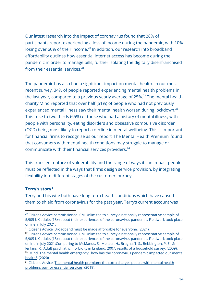Our latest research into the impact of coronavirus found that 28% of participants report experiencing a loss of income during the pandemic, with 10% losing over 60% of their income.<sup>20</sup> In addition, our research into broadband affordability outlines how essential internet access has become during the pandemic in order to manage bills, further isolating the digitally disenfranchised from their essential services.<sup>21</sup>

The pandemic has also had a significant impact on mental health. In our most recent survey, 34% of people reported experiencing mental health problems in the last year, compared to a previous yearly average of  $25\%$ <sup>22</sup> The mental health charity Mind reported that over half (51%) of people who had not previously experienced mental illness saw their mental health worsen during lockdown.<sup>23</sup> This rose to two thirds (65%) of those who had a history of mental illness, with people with personality, eating disorders and obsessive compulsive disorder (OCD) being most likely to report a decline in mental wellbeing. This is important for financial firms to recognise as our report 'The Mental Health Premium' found that consumers with mental health conditions may struggle to manage or communicate with their financial services providers.<sup>24</sup>

This transient nature of vulnerability and the range of ways it can impact people must be reflected in the ways that firms design service provision, by integrating flexibility into different stages of the customer journey.

#### **Terry's story\***

Terry and his wife both have long term health conditions which have caused them to shield from coronavirus for the past year. Terry's current account was

<sup>&</sup>lt;sup>20</sup> Citizens Advice commissioned ICM Unlimited to survey a nationally representative sample of 5,905 UK adults (18+) about their experiences of the coronavirus pandemic. Fieldwork took place online in July 2021.

<sup>&</sup>lt;sup>21</sup> Citizens Advice, [Broadband](https://www.citizensadvice.org.uk/about-us/our-work/policy/policy-research-topics/consumer-policy-research/consumer-policy-research/broadband-must-be-made-affordable-for-everyone/) must be made affordable for everyone, (2021).

<sup>&</sup>lt;sup>23</sup> Mind, The mental health emergency: how has the [coronavirus](https://www.mind.org.uk/media-a/5929/the-mental-health-emergency_a4_final.pdf) pandemic impacted our mental [health?,](https://www.mind.org.uk/media-a/5929/the-mental-health-emergency_a4_final.pdf) (2020). <sup>22</sup> Citizens Advice commissioned ICM Unlimited to survey a nationally representative sample of 5,905 UK adults (18+) about their experiences of the coronavirus pandemic. Fieldwork took place online in July 2021;Comparing to McManus, S., Meltzer, H., Brugha, T. S., Bebbington, P. E., & Jenkins, R., Adult [psychiatric](https://digital.nhs.uk/data-and-information/publications/statistical/adult-psychiatric-morbidity-survey/adult-psychiatric-morbidity-in-england-2007-results-of-a-household-survey) morbidity in England, 2007: results of a household survey, (2009).

<sup>&</sup>lt;sup>24</sup> Citizens Advice, The mental health [premium:](https://www.citizensadvice.org.uk/Global/CitizensAdvice/Consumer%20publications/Mental%20Health%20Premium.pdf) the extra charges people with mental health [problems](https://www.citizensadvice.org.uk/Global/CitizensAdvice/Consumer%20publications/Mental%20Health%20Premium.pdf) pay for essential services, (2019).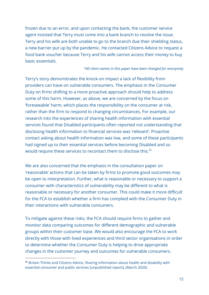frozen due to an error, and upon contacting the bank, the customer service agent insisted that Terry must come into a bank branch to resolve the issue. Terry and his wife are both unable to go to the branch due their shielding status, a new barrier put up by the pandemic. He contacted Citizens Advice to request a food bank voucher because Terry and his wife cannot access their money to buy basic essentials.

#### *\*All client names in this paper have been changed for anonymity*

Terry's story demonstrates the knock-on impact a lack of flexibility from providers can have on vulnerable consumers. The emphasis in the Consumer Duty on firms shifting to a more proactive approach should help to address some of this harm. However, as above, we are concerned by the focus on 'foreseeable' harm, which places the responsibility on the consumer at risk, rather than the firm to respond to changing circumstances. For example, our research into the experiences of sharing health information with essential services found that Disabled participants often reported not understanding that disclosing health information to financial services was 'relevant'. Proactive contact asking about health information was low, and some of these participants had signed up to their essential services before becoming Disabled and so would require these services to recontact them to disclose this.<sup>25</sup>

We are also concerned that the emphasis in the consultation paper on 'reasonable' actions that can be taken by firms to promote good outcomes may be open to interpretation. Further, what is reasonable or necessary to support a consumer with characteristics of vulnerability may be different to what is reasonable or necessary for another consumer. This could make it more difficult for the FCA to establish whether a firm has complied with the Consumer Duty in their interactions with vulnerable consumers.

To mitigate against these risks, the FCA should require firms to gather and monitor data comparing outcomes for different demographic and vulnerable groups within their customer base. We would also encourage the FCA to work directly with those with lived experiences and third sector organisations in order to determine whether the Consumer Duty is helping to drive appropriate changes in the customer journey and outcomes for vulnerable consumers.

<sup>&</sup>lt;sup>25</sup> Britain Thinks and Citizens Advice, Sharing information about health and disability with essential consumer and public services [unpublished report], (March 2020).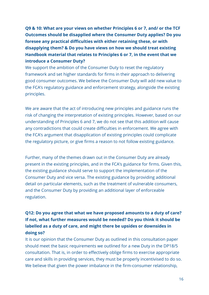**Q9 & 10: What are your views on whether Principles 6 or 7, and/ or the TCF Outcomes should be disapplied where the Consumer Duty applies? Do you foresee any practical difficulties with either retaining these, or with disapplying them? & Do you have views on how we should treat existing Handbook material that relates to Principles 6 or 7, in the event that we introduce a Consumer Duty?**

We support the ambition of the Consumer Duty to reset the regulatory framework and set higher standards for firms in their approach to delivering good consumer outcomes. We believe the Consumer Duty will add new value to the FCA's regulatory guidance and enforcement strategy, alongside the existing principles.

We are aware that the act of introducing new principles and guidance runs the risk of changing the interpretation of existing principles. However, based on our understanding of Principles 6 and 7, we do not see that this addition will cause any contradictions that could create difficulties in enforcement. We agree with the FCA's argument that disapplication of existing principles could complicate the regulatory picture, or give firms a reason to not follow existing guidance.

Further, many of the themes drawn out in the Consumer Duty are already present in the existing principles, and in the FCA's guidance for firms. Given this, the existing guidance should serve to support the implementation of the Consumer Duty and vice versa. The existing guidance by providing additional detail on particular elements, such as the treatment of vulnerable consumers, and the Consumer Duty by providing an additional layer of enforceable regulation.

## **Q12: Do you agree that what we have proposed amounts to a duty of care? If not, what further measures would be needed? Do you think it should be labelled as a duty of care, and might there be upsides or downsides in doing so?**

It is our opinion that the Consumer Duty as outlined in this consultation paper should meet the basic requirements we outlined for a new Duty in the DP18/5 consultation. That is, in order to effectively oblige firms to exercise appropriate care and skills in providing services, they must be properly incentivised to do so. We believe that given the power imbalance in the firm-consumer relationship,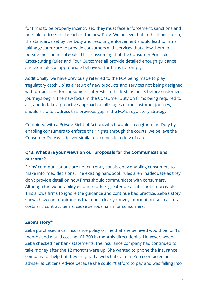for firms to be properly incentivised they must face enforcement, sanctions and possible redress for breach of the new Duty. We believe that in the longer-term, the standards set by the Duty and resulting enforcement should lead to firms taking greater care to provide consumers with services that allow them to pursue their financial goals. This is assuming that the Consumer Principle, Cross-cutting Rules and Four Outcomes all provide detailed enough guidance and examples of appropriate behaviour for firms to comply.

Additionally, we have previously referred to the FCA being made to play 'regulatory catch up' as a result of new products and services not being designed with proper care for consumers' interests in the first instance, before customer journeys begin. The new focus in the Consumer Duty on firms being required to act, and to take a proactive approach at all stages of the customer journey, should help to address this previous gap in the FCA's regulatory strategy.

Combined with a Private Right of Action, which would strengthen the Duty by enabling consumers to enforce their rights through the courts, we believe the Consumer Duty will deliver similar outcomes to a duty of care.

### **Q13: What are your views on our proposals for the Communications outcome?**

Firms' communications are not currently consistently enabling consumers to make informed decisions. The existing handbook rules aren inadequate as they don't provide detail on how firms should communicate with consumers. Although the vulnerability guidance offers greater detail, it is not enforceable. This allows firms to ignore the guidance and continue bad practice. Zeba's story shows how communications that don't clearly convey information, such as total costs and contract terms, cause serious harm for consumers.

#### **Zeba's story\***

Zeba purchased a car insurance policy online that she believed would be for 12 months and would cost her £1,200 in monthly direct debits. However, when Zeba checked her bank statements, the insurance company had continued to take money after the 12 months were up. She wanted to phone the insurance company for help but they only had a webchat system. Zeba contacted an adviser at Citizens Advice because she couldn't afford to pay and was falling into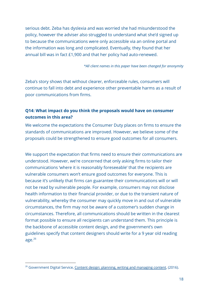serious debt. Zeba has dyslexia and was worried she had misunderstood the policy, however the adviser also struggled to understand what she'd signed up to because the communications were only accessible via an online portal and the information was long and complicated. Eventually, they found that her annual bill was in fact £1,900 and that her policy had auto-renewed.

*\*All client names in this paper have been changed for anonymity*

Zeba's story shows that without clearer, enforceable rules, consumers will continue to fall into debt and experience other preventable harms as a result of poor communications from firms.

## **Q14: What impact do you think the proposals would have on consumer outcomes in this area?**

We welcome the expectations the Consumer Duty places on firms to ensure the standards of communications are improved. However, we believe some of the proposals could be strengthened to ensure good outcomes for all consumers.

We support the expectation that firms need to ensure their communications are understood. However, we're concerned that only asking firms to tailor their communications 'where it is reasonably foreseeable' that the recipients are vulnerable consumers won't ensure good outcomes for everyone. This is because it's unlikely that firms can guarantee their communications will or will not be read by vulnerable people. For example, consumers may not disclose health information to their financial provider, or due to the transient nature of vulnerability, whereby the consumer may quickly move in and out of vulnerable circumstances, the firm may not be aware of a customer's sudden change in circumstances. Therefore, all communications should be written in the clearest format possible to ensure all recipients can understand them. This principle is the backbone of accessible content design, and the government's own guidelines specify that content designers should write for a 9 year old reading age. $26$ 

 $26$  Government Digital Service, Content design: planning, writing and [managing](https://www.gov.uk/guidance/content-design/writing-for-gov-uk) content, (2016).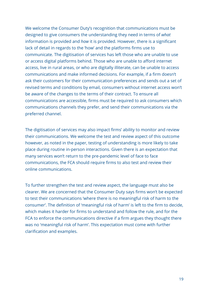We welcome the Consumer Duty's recognition that communications must be designed to give consumers the understanding they need in terms of *what* information is provided and *how* it is provided. However, there is a significant lack of detail in regards to the 'how' and the platforms firms use to communicate. The digitisation of services has left those who are unable to use or access digital platforms behind. Those who are unable to afford internet access, live in rural areas, or who are digitally illiterate, can be unable to access communications and make informed decisions. For example, if a firm doesn't ask their customers for their communication preferences and sends out a set of revised terms and conditions by email, consumers without internet access won't be aware of the changes to the terms of their contract. To ensure all communications are accessible, firms must be required to ask consumers which communications channels they prefer, and send their communications via the preferred channel.

The digitisation of services may also impact firms' ability to monitor and review their communications. We welcome the test and review aspect of this outcome however, as noted in the paper, testing of understanding is more likely to take place during routine in-person interactions. Given there is an expectation that many services won't return to the pre-pandemic level of face to face communications, the FCA should require firms to also test and review their online communications.

To further strengthen the test and review aspect, the language must also be clearer. We are concerned that the Consumer Duty says firms won't be expected to test their communications 'where there is no meaningful risk of harm to the consumer'. The definition of 'meaningful risk of harm' is left to the firm to decide, which makes it harder for firms to understand and follow the rule, and for the FCA to enforce the communications directive if a firm argues they thought there was no 'meaningful risk of harm'. This expectation must come with further clarification and examples.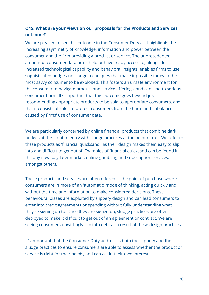## **Q15: What are your views on our proposals for the Products and Services outcome?**

We are pleased to see this outcome in the Consumer Duty as it highlights the increasing asymmetry of knowledge, information and power between the consumer and the firm providing a product or service. The unprecedented amount of consumer data firms hold or have ready access to, alongside increased technological capability and behavioral insights, enables firms to use sophisticated nudge and sludge techniques that make it possible for even the most savvy consumer to be exploited. This fosters an unsafe environment for the consumer to navigate product and service offerings, and can lead to serious consumer harm. It's important that this outcome goes beyond just recommending appropriate products to be sold to appropriate consumers, and that it consists of rules to protect consumers from the harm and imbalances caused by firms' use of consumer data.

We are particularly concerned by online financial products that combine dark nudges at the point of entry with sludge practices at the point of exit. We refer to these products as 'financial quicksand', as their design makes them easy to slip into and difficult to get out of. Examples of financial quicksand can be found in the buy now, pay later market, online gambling and subscription services, amongst others.

These products and services are often offered at the point of purchase where consumers are in more of an 'automatic' mode of thinking, acting quickly and without the time and information to make considered decisions. These behavioural biases are exploited by slippery design and can lead consumers to enter into credit agreements or spending without fully understanding what they're signing up to. Once they are signed up, sludge practices are often deployed to make it difficult to get out of an agreement or contract. We are seeing consumers unwittingly slip into debt as a result of these design practices.

It's important that the Consumer Duty addresses both the slippery and the sludge practices to ensure consumers are able to assess whether the product or service is right for their needs, and can act in their own interests.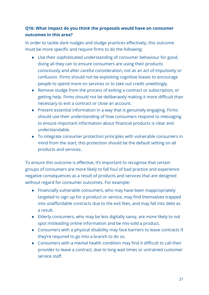## **Q16: What impact do you think the proposals would have on consumer outcomes in this area?**

In order to tackle dark nudges and sludge practices effectively, this outcome must be more specific and require firms to do the following:

- Use their sophisticated understanding of consumer behaviour for good, doing all they can to ensure consumers are using their products consciously and after careful consideration, not as an act of impulsivity or confusion. Firms should not be exploiting cognitive biases to encourage people to spend more on services or to take out credit unwittingly.
- Remove sludge from the process of exiting a contract or subscription, or getting help. Firms should not be deliberately making it more difficult than necessary to exit a contract or close an account.
- Present essential information in a way that is genuinely engaging. Firms should use their understanding of how consumers respond to messaging to ensure important information about financial products is clear and understandable.
- To integrate consumer protection principles with vulnerable consumers in mind from the start, this protection should be the default setting on all products and services.

To ensure this outcome is effective, it's important to recognise that certain groups of consumers are more likely to fall foul of bad practice and experience negative consequences as a result of products and services that are designed without regard for consumer outcomes. For example:

- Financially vulnerable consumers, who may have been inappropriately targeted to sign up for a product or service, may find themselves trapped into unaffordable contracts due to the exit fees, and may fall into debt as a result.
- Elderly consumers, who may be less digitally savvy, are more likely to not spot misleading online information and be mis-sold a product.
- Consumers with a physical disability may face barriers to leave contracts if they're required to go into a branch to do so.
- Consumers with a mental health condition may find it difficult to call their provider to leave a contract, due to long wait times or untrained customer service staff.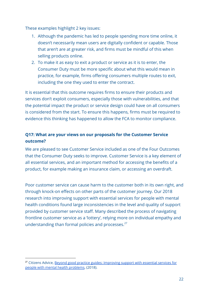These examples highlight 2 key issues:

- 1. Although the pandemic has led to people spending more time online, it doesn't necessarily mean users are digitally confident or capable. Those that aren't are at greater risk, and firms must be mindful of this when selling products online.
- 2. To make it as easy to exit a product or service as it is to enter, the Consumer Duty must be more specific about what this would mean in practice, for example, firms offering consumers multiple routes to exit, including the one they used to enter the contract.

It is essential that this outcome requires firms to ensure their products and services don't exploit consumers, especially those with vulnerabilities, and that the potential impact the product or service design could have on all consumers is considered from the start. To ensure this happens, firms must be required to evidence this thinking has happened to allow the FCA to monitor compliance.

## **Q17: What are your views on our proposals for the Customer Service outcome?**

We are pleased to see Customer Service included as one of the Four Outcomes that the Consumer Duty seeks to improve. Customer Service is a key element of all essential services, and an important method for accessing the benefits of a product, for example making an insurance claim, or accessing an overdraft.

Poor customer service can cause harm to the customer both in its own right, and through knock-on effects on other parts of the customer journey. Our 2018 research into improving support with essential services for people with mental health conditions found large inconsistencies in the level and quality of support provided by customer service staff. Many described the process of navigating frontline customer service as a 'lottery', relying more on individual empathy and understanding than formal policies and processes. $27$ 

<sup>&</sup>lt;sup>27</sup> Citizens Advice, Beyond good practice guides: [Improving](https://www.citizensadvice.org.uk/about-us/our-work/policy/policy-research-topics/consumer-policy-research/consumer-policy-research/beyond-good-practice-guides-improving-support-with-essential-services-for-people-with-mental-health-problems/) support with essential services for people with mental health [problems](https://www.citizensadvice.org.uk/about-us/our-work/policy/policy-research-topics/consumer-policy-research/consumer-policy-research/beyond-good-practice-guides-improving-support-with-essential-services-for-people-with-mental-health-problems/), (2018).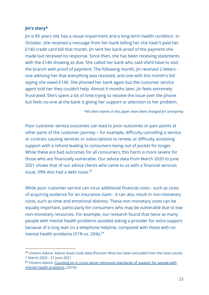#### **Jin's story\***

Jin is 85 years old, has a visual impairment and a long-term health condition. In October, she received a message from her bank telling her she hadn't paid her £140 credit card bill that month. Jin sent her bank proof of the payment she made but received no response. Since then, she has been receiving statements with the £140 showing as due. She called her bank who said she'd have to visit the branch with proof of payment. The following month, Jin received 2 letters one advising her that everything was resolved, and one with this month's bill saying she owed £140. She phoned her bank again but the customer service agent told her they couldn't help. Almost 6 months later, Jin feels extremely frustrated. She's spent a lot of time trying to resolve the issue over the phone but feels no-one at the bank is giving her support or attention to her problem.

*\*All client names in this paper have been changed for anonymity*

Poor customer service outcomes can lead to poor outcomes or pain points at other parts of the customer journey – for example, difficulty cancelling a service or contract causing services or subscriptions to renew, or difficulty accessing support with a refund leading to consumers being out of pocket for longer. While these are bad outcomes for all consumers, this harm is more severe for those who are financially vulnerable. Our advice data from March 2020 to June 2021 shows that of our advice clients who came to us with a financial services issue, 39% also had a debt issue. $28$ 

While poor customer service can incur additional financial costs - such as costs of acquiring evidence for an insurance claim - it can also result in non-monetary costs, such as time and emotional distress. These non-monetary costs can be equally important, particularly for consumers who may be vulnerable due to low non-monetary resources. For example, our research found that twice as many people with mental health problems avoided asking a provider for extra support because of a long wait on a telephone helpline, compared with those with no mental health problems (51% vs. 26%).<sup>29</sup>

<sup>&</sup>lt;sup>28</sup> Citizens Advice, Advice Issue Code data (Pension Wise has been excluded from the total count), 1 March 2020 - 31 June 2021.

<sup>&</sup>lt;sup>29</sup> Citizens Advice, Counting on it: cross sector minimum [standards](https://www.citizensadvice.org.uk/Global/CitizensAdvice/Consumer%20publications/Minimum%20standards%20report.pdf) of support for people with mental health [problems,](https://www.citizensadvice.org.uk/Global/CitizensAdvice/Consumer%20publications/Minimum%20standards%20report.pdf) (2019).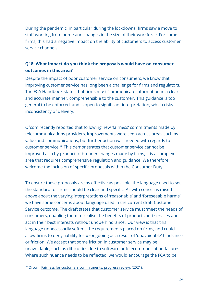During the pandemic, in particular during the lockdowns, firms saw a move to staff working from home and changes in the size of their workforce. For some firms, this had a negative impact on the ability of customers to access customer service channels.

### **Q18: What impact do you think the proposals would have on consumer outcomes in this area?**

Despite the impact of poor customer service on consumers, we know that improving customer service has long been a challenge for firms and regulators. The FCA Handbook states that firms must 'communicate information in a clear and accurate manner, comprehensible to the customer'. This guidance is too general to be enforced, and is open to significant interpretation, which risks inconsistency of delivery.

Ofcom recently reported that following new 'fairness' commitments made by telecommunications providers, improvements were seen across areas such as value and communications, but further action was needed with regards to customer service.<sup>30</sup> This demonstrates that customer service cannot be improved as a by-product of broader changes made by firms, it is a complex area that requires comprehensive regulation and guidance. We therefore welcome the inclusion of specific proposals within the Consumer Duty.

To ensure these proposals are as effective as possible, the language used to set the standard for firms should be clear and specific. As with concerns raised above about the varying interpretations of 'reasonable' and 'foreseeable harms', we have some concerns about language used in the current draft Customer Service outcome. The draft states that customer service must 'meet the needs of consumers, enabling them to realise the benefits of products and services and act in their best interests without undue hindrance'. Our view is that this language unnecessarily softens the requirements placed on firms, and could allow firms to deny liability for wrongdoing as a result of 'unavoidable' hindrance or friction. We accept that some friction in customer service may be unavoidable, such as difficulties due to software or telecommunication failures. Where such nuance needs to be reflected, we would encourage the FCA to be

<sup>30</sup> Ofcom, Fairness for customers [commitments:](https://www.ofcom.org.uk/__data/assets/pdf_file/0030/218676/fairness-commitments-monitoring-report.pdf) progress review, (2021).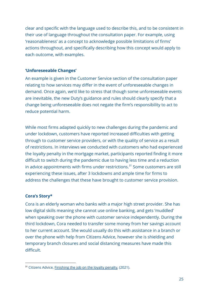clear and specific with the language used to describe this, and to be consistent in their use of language throughout the consultation paper. For example, using 'reasonableness' as a concept to acknowledge possible limitations of firms' actions throughout, and specifically describing how this concept would apply to each outcome, with examples.

#### **'Unforeseeable Changes'**

An example is given in the Customer Service section of the consultation paper relating to how services may differ in the event of unforeseeable changes in demand. Once again, we'd like to stress that though some unforeseeable events are inevitable, the new Duty's guidance and rules should clearly specify that a change being unforeseeable does not negate the firm's responsibility to act to reduce potential harm.

While most firms adapted quickly to new challenges during the pandemic and under lockdown, customers have reported increased difficulties with getting through to customer service providers, or with the quality of service as a result of restrictions. In interviews we conducted with customers who had experienced the loyalty penalty in the mortgage market, participants reported finding it more difficult to switch during the pandemic due to having less time and a reduction in advice appointments with firms under restrictions. $31$  Some customers are still experiencing these issues, after 3 lockdowns and ample time for firms to address the challenges that these have brought to customer service provision.

#### **Cora's Story\***

Cora is an elderly woman who banks with a major high street provider. She has low digital skills meaning she cannot use online banking, and gets 'muddled' when speaking over the phone with customer service independently. During the third lockdown, Cora needed to transfer some money from her savings account to her current account. She would usually do this with assistance in a branch or over the phone with help from Citizens Advice, however she is shielding and temporary branch closures and social distancing measures have made this difficult.

<sup>&</sup>lt;sup>31</sup> Citizens Advice, [Finishing](https://www.citizensadvice.org.uk/about-us/our-work/policy/policy-research-topics/consumer-policy-research/consumer-policy-research/finishing-the-job-on-the-loyalty-penalty-the-mortgage-and-mobile-handset-markets/) the job on the loyalty penalty, (2021).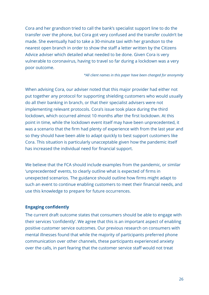Cora and her grandson tried to call the bank's specialist support line to do the transfer over the phone, but Cora got very confused and the transfer couldn't be made. She eventually had to take a 30-minute taxi with her grandson to the nearest open branch in order to show the staff a letter written by the Citizens Advice adviser which detailed what needed to be done. Given Cora is very vulnerable to coronavirus, having to travel so far during a lockdown was a very poor outcome.

#### *\*All client names in this paper have been changed for anonymity*

When advising Cora, our adviser noted that this major provider had either not put together any protocol for supporting shielding customers who would usually do all their banking in branch, or that their specialist advisers were not implementing relevant protocols. Cora's issue took place during the third lockdown, which occurred almost 10 months after the first lockdown. At this point in time, while the lockdown event itself may have been unprecedented, it was a scenario that the firm had plenty of experience with from the last year and so they should have been able to adapt quickly to best support customers like Cora. This situation is particularly unacceptable given how the pandemic itself has increased the individual need for financial support.

We believe that the FCA should include examples from the pandemic, or similar 'unprecedented' events, to clearly outline what is expected of firms in unexpected scenarios. The guidance should outline how firms might adapt to such an event to continue enabling customers to meet their financial needs, and use this knowledge to prepare for future occurrences.

#### **Engaging confidently**

The current draft outcome states that consumers should be able to engage with their services 'confidently'. We agree that this is an important aspect of enabling positive customer service outcomes. Our previous research on consumers with mental illnesses found that while the majority of participants preferred phone communication over other channels, these participants experienced anxiety over the calls, in part fearing that the customer service staff would not treat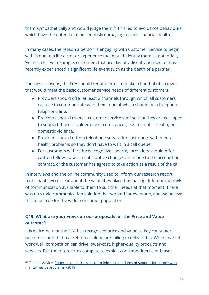them sympathetically and would judge them. $32$  This led to avoidance behaviours which have the potential to be seriously damaging to their financial health.

In many cases, the reason a person is engaging with Customer Service to begin with is due to a life event or experience that would identify them as potentially 'vulnerable'. For example, customers that are digitally disenfranchised, or have recently experienced a significant life event such as the death of a partner.

For these reasons, the FCA should require firms to make a handful of changes that would meet the basic customer service needs of different customers.

- Providers should offer at least 2 channels through which all customers can use to communicate with them, one of which should be a freephone telephone line.
- Providers should train all customer service staff so that they are equipped to support those in vulnerable circumstances, e.g. mental ill-health, or domestic violence.
- Providers should offer a telephone service for customers with mental health problems so they don't have to wait in a call queue.
- For customers with reduced cognitive capacity, providers should offer written follow-up when substantive changes are made to the account or contract, or the customer has agreed to take action as a result of the call.

In interviews and the online community used to inform our research report, participants were clear about the value they placed on having different channels of communication available to them to suit their needs at that moment. There was no single communication solution that worked for everyone, and we believe this to be true for the wider consumer population.

## **Q19: What are your views on our proposals for the Price and Value outcome?**

It is welcome that the FCA has recognised price and value as key consumer outcomes, and that market forces alone are failing to deliver this. When markets work well, competition can drive lower-cost, higher-quality products and services. But too often, firms compete to exploit consumer inertia or biases,

<sup>&</sup>lt;sup>32</sup> Citizens Advice, Counting on it: cross sector minimum [standards](https://www.citizensadvice.org.uk/Global/CitizensAdvice/Consumer%20publications/Minimum%20standards%20report.pdf) of support for people with mental health [problems,](https://www.citizensadvice.org.uk/Global/CitizensAdvice/Consumer%20publications/Minimum%20standards%20report.pdf) (2019).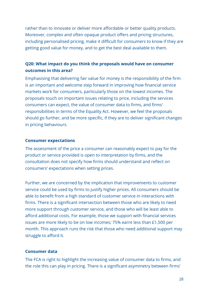rather than to innovate or deliver more affordable or better quality products. Moreover, complex and often opaque product offers and pricing structures, including personalised pricing, make it difficult for consumers to know if they are getting good value for money, and to get the best deal available to them.

#### **Q20: What impact do you think the proposals would have on consumer outcomes in this area?**

Emphasising that delivering fair value for money is the responsibility of the firm is an important and welcome step forward in improving how financial service markets work for consumers, particularly those on the lowest incomes. The proposals touch on important issues relating to price, including the services consumers can expect, the value of consumer data to firms, and firms' responsibilities in terms of the Equality Act. However, we feel the proposals should go further, and be more specific, if they are to deliver significant changes in pricing behaviours.

#### **Consumer expectations**

The assessment of the price a consumer can reasonably expect to pay for the product or service provided is open to interpretation by firms, and the consultation does not specify how firms should understand and reflect on consumers' expectations when setting prices.

Further, we are concerned by the implication that improvements to customer service could be used by firms to justify higher prices. All consumers should be able to benefit from a high standard of customer service in interactions with firms. There is a significant intersection between those who are likely to need more support through customer service, and those who will be least able to afford additional costs. For example, those we support with financial services issues are more likely to be on low incomes; 75% earnt less than £1,500 per month. This approach runs the risk that those who need additional support may struggle to afford it.

#### **Consumer data**

The FCA is right to highlight the increasing value of consumer data to firms, and the role this can play in pricing. There is a significant asymmetry between firms'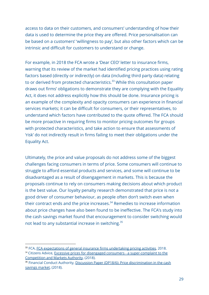access to data on their customers, and consumers' understanding of how their data is used to determine the price they are offered. Price personalisation can be based on a customers' 'willingness to pay', but also other factors which can be intrinsic and difficult for customers to understand or change.

For example, in 2018 the FCA wrote a 'Dear CEO' letter to insurance firms, warning that its review of the market had identified pricing practices using rating factors based (directly or indirectly) on data (including third party data) relating to or derived from protected characteristics. $33$  While this consultation paper draws out firms' obligations to demonstrate they are complying with the Equality Act, it does not address explicitly how this should be done. Insurance pricing is an example of the complexity and opacity consumers can experience in financial services markets; it can be difficult for consumers, or their representatives, to understand which factors have contributed to the quote offered. The FCA should be more proactive in requiring firms to monitor pricing outcomes for groups with protected characteristics, and take action to ensure that assessments of 'risk' do not indirectly result in firms failing to meet their obligations under the Equality Act.

Ultimately, the price and value proposals do not address some of the biggest challenges facing consumers in terms of price. Some consumers will continue to struggle to afford essential products and services, and some will continue to be disadvantaged as a result of disengagement in markets. This is because the proposals continue to rely on consumers making decisions about which product is the best value. Our loyalty penalty research demonstrated that price is not a good driver of consumer behaviour, as people often don't switch even when their contract ends and the price increases. $34$  Remedies to increase information about price changes have also been found to be ineffective. The FCA's study into the cash savings market found that encouragement to consider switching would not lead to any substantial increase in switching.<sup>35</sup>

<sup>&</sup>lt;sup>33</sup> FCA, FCA [expectations](https://www.fca.org.uk/publication/correspondence/dear-ceo-letter-fca-expectations-general-insurance-firms-undertaking-pricing-activities.pdf) of general insurance firms undertaking pricing activities, 2018.

<sup>&</sup>lt;sup>34</sup> Citizens Advice, Excessive prices for disengaged consumers - a [super-complaint](https://www.citizensadvice.org.uk/Global/CitizensAdvice/Consumer%20publications/Super-complaint%20-%20Excessive%20prices%20for%20disengaged%20consumers%20(1).pdf) to the [Competition](https://www.citizensadvice.org.uk/Global/CitizensAdvice/Consumer%20publications/Super-complaint%20-%20Excessive%20prices%20for%20disengaged%20consumers%20(1).pdf) and Markets Authority, (2018).

<sup>&</sup>lt;sup>35</sup> Financial Conduct Authority, Discussion Paper (DP18/6): Price [discrimination](https://www.fca.org.uk/publication/discussion/dp18-06.pdf) in the cash [savings](https://www.fca.org.uk/publication/discussion/dp18-06.pdf) market, (2018).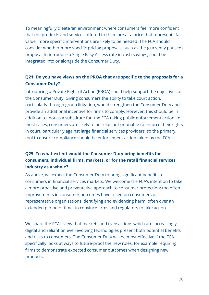To meaningfully create 'an environment where consumers feel more confident that the products and services offered to them are at a price that represents fair value', more specific interventions are likely to be needed. The FCA should consider whether more specific pricing proposals, such as the (currently paused) proposal to introduce a Single Easy Access rate in cash savings, could be integrated into or alongside the Consumer Duty.

## **Q21: Do you have views on the PROA that are specific to the proposals for a Consumer Duty?**

Introducing a Private Right of Action (PROA) could help support the objectives of the Consumer Duty. Giving consumers the ability to take court action, particularly through group litigation, would strengthen the Consumer Duty and provide an additional incentive for firms to comply. However, this should be in addition to, not as a substitute for, the FCA taking public enforcement action. In most cases, consumers are likely to be reluctant or unable to enforce their rights in court, particularly against large financial services providers, so the primary tool to ensure compliance should be enforcement action taken by the FCA.

## **Q25: To what extent would the Consumer Duty bring benefits for consumers, individual firms, markets, or for the retail financial services industry as a whole?**

As above, we expect the Consumer Duty to bring significant benefits to consumers in financial services markets. We welcome the FCA's intention to take a more proactive and preventative approach to consumer protection; too often improvements in consumer outcomes have relied on consumers or representative organisations identifying and evidencing harm, often over an extended period of time, to convince firms and regulators to take action.

We share the FCA's view that markets and transactions which are increasingly digital and reliant on ever-evolving technologies present both potential benefits and risks to consumers. The Consumer Duty will be most effective if the FCA specifically looks at ways to future-proof the new rules, for example requiring firms to demonstrate expected consumer outcomes when designing new products.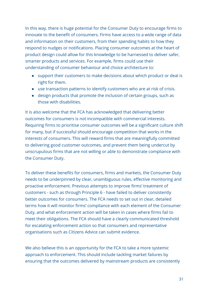In this way, there is huge potential for the Consumer Duty to encourage firms to innovate to the benefit of consumers. Firms have access to a wide range of data and information on their customers, from their spending habits to how they respond to nudges or notifications. Placing consumer outcomes at the heart of product design could allow for this knowledge to be harnessed to deliver safer, smarter products and services. For example, firms could use their understanding of consumer behaviour and choice architecture to:

- support their customers to make decisions about which product or deal is right for them.
- use transaction patterns to identify customers who are at risk of crisis.
- design products that promote the inclusion of certain groups, such as those with disabilities.

It is also welcome that the FCA has acknowledged that delivering better outcomes for consumers is not incompatible with commercial interests. Requiring firms to prioritise consumer outcomes will be a significant culture shift for many, but if successful should encourage competition that works in the interests of consumers. This will reward firms that are meaningfully committed to delivering good customer outcomes, and prevent them being undercut by unscrupulous firms that are not willing or able to demonstrate compliance with the Consumer Duty.

To deliver these benefits for consumers, firms and markets, the Consumer Duty needs to be underpinned by clear, unambiguous rules, effective monitoring and proactive enforcement. Previous attempts to improve firms' treatment of customers - such as through Principle 6 - have failed to deliver consistently better outcomes for consumers. The FCA needs to set out in clear, detailed terms how it will monitor firms' compliance with each element of the Consumer Duty, and what enforcement action will be taken in cases where firms fail to meet their obligations. The FCA should have a clearly communicated threshold for escalating enforcement action so that consumers and representative organisations such as Citizens Advice can submit evidence.

We also believe this is an opportunity for the FCA to take a more systemic approach to enforcement. This should include tackling market failures by ensuring that the outcomes delivered by mainstream products are consistently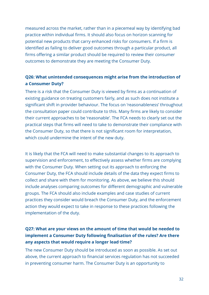measured across the market, rather than in a piecemeal way by identifying bad practice within individual firms. It should also focus on horizon scanning for potential new products that carry enhanced risks for consumers. If a firm is identified as failing to deliver good outcomes through a particular product, all firms offering a similar product should be required to review their consumer outcomes to demonstrate they are meeting the Consumer Duty.

## **Q26: What unintended consequences might arise from the introduction of a Consumer Duty?**

There is a risk that the Consumer Duty is viewed by firms as a continuation of existing guidance on treating customers fairly, and as such does not institute a significant shift in provider behaviour. The focus on 'reasonableness' throughout the consultation paper could contribute to this. Many firms are likely to consider their current approaches to be 'reasonable'. The FCA needs to clearly set out the practical steps that firms will need to take to demonstrate their compliance with the Consumer Duty, so that there is not significant room for interpretation, which could undermine the intent of the new duty.

It is likely that the FCA will need to make substantial changes to its approach to supervision and enforcement, to effectively assess whether firms are complying with the Consumer Duty. When setting out its approach to enforcing the Consumer Duty, the FCA should include details of the data they expect firms to collect and share with them for monitoring. As above, we believe this should include analyses comparing outcomes for different demographic and vulnerable groups. The FCA should also include examples and case studies of current practices they consider would breach the Consumer Duty, and the enforcement action they would expect to take in response to these practices following the implementation of the duty.

## **Q27: What are your views on the amount of time that would be needed to implement a Consumer Duty following finalisation of the rules? Are there any aspects that would require a longer lead**‑**time?**

The new Consumer Duty should be introduced as soon as possible. As set out above, the current approach to financial services regulation has not succeeded in preventing consumer harm. The Consumer Duty is an opportunity to